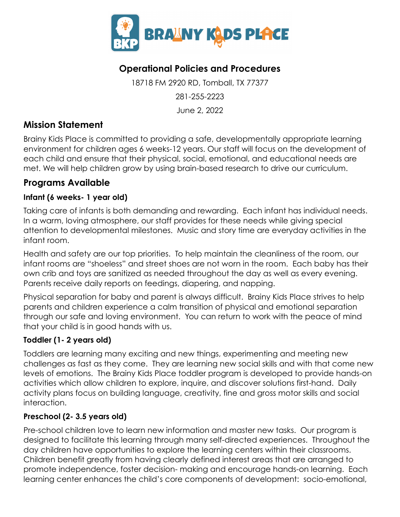

## **Operational Policies and Procedures**

18718 FM 2920 RD, Tomball, TX 77377 281-255-2223 June 2, 2022

## **Mission Statement**

Brainy Kids Place is committed to providing a safe, developmentally appropriate learning environment for children ages 6 weeks-12 years. Our staff will focus on the development of each child and ensure that their physical, social, emotional, and educational needs are met. We will help children grow by using brain-based research to drive our curriculum.

## **Programs Available**

## **Infant (6 weeks- 1 year old)**

Taking care of infants is both demanding and rewarding. Each infant has individual needs. In a warm, loving atmosphere, our staff provides for these needs while giving special attention to developmental milestones. Music and story time are everyday activities in the infant room.

Health and safety are our top priorities. To help maintain the cleanliness of the room, our infant rooms are "shoeless" and street shoes are not worn in the room. Each baby has their own crib and toys are sanitized as needed throughout the day as well as every evening. Parents receive daily reports on feedings, diapering, and napping.

Physical separation for baby and parent is always difficult. Brainy Kids Place strives to help parents and children experience a calm transition of physical and emotional separation through our safe and loving environment. You can return to work with the peace of mind that your child is in good hands with us.

## **Toddler (1- 2 years old)**

Toddlers are learning many exciting and new things, experimenting and meeting new challenges as fast as they come. They are learning new social skills and with that come new levels of emotions. The Brainy Kids Place toddler program is developed to provide hands-on activities which allow children to explore, inquire, and discover solutions first-hand. Daily activity plans focus on building language, creativity, fine and gross motor skills and social interaction.

## **Preschool (2- 3.5 years old)**

Pre-school children love to learn new information and master new tasks. Our program is designed to facilitate this learning through many self-directed experiences. Throughout the day children have opportunities to explore the learning centers within their classrooms. Children benefit greatly from having clearly defined interest areas that are arranged to promote independence, foster decision- making and encourage hands-on learning. Each learning center enhances the child's core components of development: socio-emotional,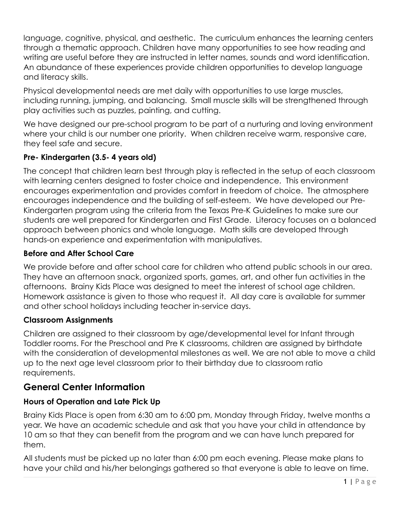language, cognitive, physical, and aesthetic. The curriculum enhances the learning centers through a thematic approach. Children have many opportunities to see how reading and writing are useful before they are instructed in letter names, sounds and word identification. An abundance of these experiences provide children opportunities to develop language and literacy skills.

Physical developmental needs are met daily with opportunities to use large muscles, including running, jumping, and balancing. Small muscle skills will be strengthened through play activities such as puzzles, painting, and cutting.

We have designed our pre-school program to be part of a nurturing and loving environment where your child is our number one priority. When children receive warm, responsive care, they feel safe and secure.

### **Pre- Kindergarten (3.5- 4 years old)**

The concept that children learn best through play is reflected in the setup of each classroom with learning centers designed to foster choice and independence. This environment encourages experimentation and provides comfort in freedom of choice. The atmosphere encourages independence and the building of self-esteem. We have developed our Pre-Kindergarten program using the criteria from the Texas Pre-K Guidelines to make sure our students are well prepared for Kindergarten and First Grade. Literacy focuses on a balanced approach between phonics and whole language. Math skills are developed through hands-on experience and experimentation with manipulatives.

#### **Before and After School Care**

We provide before and after school care for children who attend public schools in our area. They have an afternoon snack, organized sports, games, art, and other fun activities in the afternoons. Brainy Kids Place was designed to meet the interest of school age children. Homework assistance is given to those who request it. All day care is available for summer and other school holidays including teacher in-service days.

#### **Classroom Assignments**

Children are assigned to their classroom by age/developmental level for Infant through Toddler rooms. For the Preschool and Pre K classrooms, children are assigned by birthdate with the consideration of developmental milestones as well. We are not able to move a child up to the next age level classroom prior to their birthday due to classroom ratio requirements.

## **General Center Information**

#### **Hours of Operation and Late Pick Up**

Brainy Kids Place is open from 6:30 am to 6:00 pm, Monday through Friday, twelve months a year. We have an academic schedule and ask that you have your child in attendance by 10 am so that they can benefit from the program and we can have lunch prepared for them.

All students must be picked up no later than 6:00 pm each evening. Please make plans to have your child and his/her belongings gathered so that everyone is able to leave on time.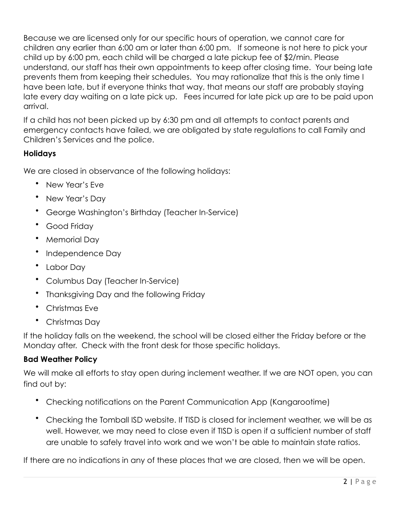Because we are licensed only for our specific hours of operation, we cannot care for children any earlier than 6:00 am or later than 6:00 pm. If someone is not here to pick your child up by 6:00 pm, each child will be charged a late pickup fee of \$2/min. Please understand, our staff has their own appointments to keep after closing time. Your being late prevents them from keeping their schedules. You may rationalize that this is the only time I have been late, but if everyone thinks that way, that means our staff are probably staying late every day waiting on a late pick up. Fees incurred for late pick up are to be paid upon arrival.

If a child has not been picked up by 6:30 pm and all attempts to contact parents and emergency contacts have failed, we are obligated by state regulations to call Family and Children's Services and the police.

#### **Holidays**

We are closed in observance of the following holidays:

- New Year's Eve
- New Year's Day
- George Washington's Birthday (Teacher In-Service)
- Good Friday
- Memorial Day
- Independence Day
- Labor Day
- Columbus Day (Teacher In-Service)
- Thanksgiving Day and the following Friday
- Christmas Eve
- Christmas Day

If the holiday falls on the weekend, the school will be closed either the Friday before or the Monday after. Check with the front desk for those specific holidays.

#### **Bad Weather Policy**

We will make all efforts to stay open during inclement weather. If we are NOT open, you can find out by:

- Checking notifications on the Parent Communication App (Kangarootime)
- Checking the Tomball ISD website. If TISD is closed for inclement weather, we will be as well. However, we may need to close even if TISD is open if a sufficient number of staff are unable to safely travel into work and we won't be able to maintain state ratios.

If there are no indications in any of these places that we are closed, then we will be open.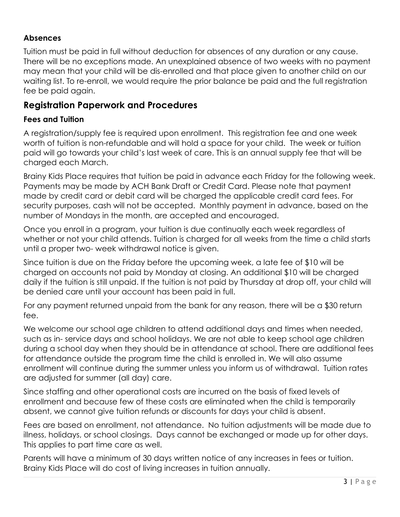### **Absences**

Tuition must be paid in full without deduction for absences of any duration or any cause. There will be no exceptions made. An unexplained absence of two weeks with no payment may mean that your child will be dis-enrolled and that place given to another child on our waiting list. To re-enroll, we would require the prior balance be paid and the full registration fee be paid again.

## **Registration Paperwork and Procedures**

#### **Fees and Tuition**

A registration/supply fee is required upon enrollment. This registration fee and one week worth of tuition is non-refundable and will hold a space for your child. The week or tuition paid will go towards your child's last week of care. This is an annual supply fee that will be charged each March.

Brainy Kids Place requires that tuition be paid in advance each Friday for the following week. Payments may be made by ACH Bank Draft or Credit Card. Please note that payment made by credit card or debit card will be charged the applicable credit card fees. For security purposes, cash will not be accepted. Monthly payment in advance, based on the number of Mondays in the month, are accepted and encouraged.

Once you enroll in a program, your tuition is due continually each week regardless of whether or not your child attends. Tuition is charged for all weeks from the time a child starts until a proper two- week withdrawal notice is given.

Since tuition is due on the Friday before the upcoming week, a late fee of \$10 will be charged on accounts not paid by Monday at closing. An additional \$10 will be charged daily if the tuition is still unpaid. If the tuition is not paid by Thursday at drop off, your child will be denied care until your account has been paid in full.

For any payment returned unpaid from the bank for any reason, there will be a \$30 return fee.

We welcome our school age children to attend additional days and times when needed, such as in- service days and school holidays. We are not able to keep school age children during a school day when they should be in attendance at school. There are additional fees for attendance outside the program time the child is enrolled in. We will also assume enrollment will continue during the summer unless you inform us of withdrawal. Tuition rates are adjusted for summer (all day) care.

Since staffing and other operational costs are incurred on the basis of fixed levels of enrollment and because few of these costs are eliminated when the child is temporarily absent, we cannot give tuition refunds or discounts for days your child is absent.

Fees are based on enrollment, not attendance. No tuition adjustments will be made due to illness, holidays, or school closings. Days cannot be exchanged or made up for other days. This applies to part time care as well.

Parents will have a minimum of 30 days written notice of any increases in fees or tuition. Brainy Kids Place will do cost of living increases in tuition annually.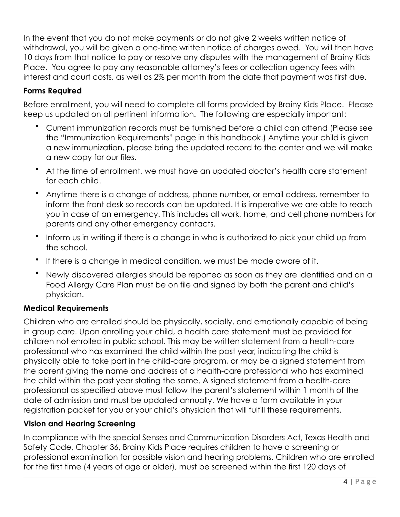In the event that you do not make payments or do not give 2 weeks written notice of withdrawal, you will be given a one-time written notice of charges owed. You will then have 10 days from that notice to pay or resolve any disputes with the management of Brainy Kids Place. You agree to pay any reasonable attorney's fees or collection agency fees with interest and court costs, as well as 2% per month from the date that payment was first due.

### **Forms Required**

Before enrollment, you will need to complete all forms provided by Brainy Kids Place. Please keep us updated on all pertinent information. The following are especially important:

- Current immunization records must be furnished before a child can attend (Please see the "Immunization Requirements" page in this handbook.) Anytime your child is given a new immunization, please bring the updated record to the center and we will make a new copy for our files.
- At the time of enrollment, we must have an updated doctor's health care statement for each child.
- Anytime there is a change of address, phone number, or email address, remember to inform the front desk so records can be updated. It is imperative we are able to reach you in case of an emergency. This includes all work, home, and cell phone numbers for parents and any other emergency contacts.
- Inform us in writing if there is a change in who is authorized to pick your child up from the school.
- If there is a change in medical condition, we must be made aware of it.
- Newly discovered allergies should be reported as soon as they are identified and an a Food Allergy Care Plan must be on file and signed by both the parent and child's physician.

#### **Medical Requirements**

Children who are enrolled should be physically, socially, and emotionally capable of being in group care. Upon enrolling your child, a health care statement must be provided for children not enrolled in public school. This may be written statement from a health-care professional who has examined the child within the past year, indicating the child is physically able to take part in the child-care program, or may be a signed statement from the parent giving the name and address of a health-care professional who has examined the child within the past year stating the same. A signed statement from a health-care professional as specified above must follow the parent's statement within 1 month of the date of admission and must be updated annually. We have a form available in your registration packet for you or your child's physician that will fulfill these requirements.

#### **Vision and Hearing Screening**

In compliance with the special Senses and Communication Disorders Act, Texas Health and Safety Code, Chapter 36, Brainy Kids Place requires children to have a screening or professional examination for possible vision and hearing problems. Children who are enrolled for the first time (4 years of age or older), must be screened within the first 120 days of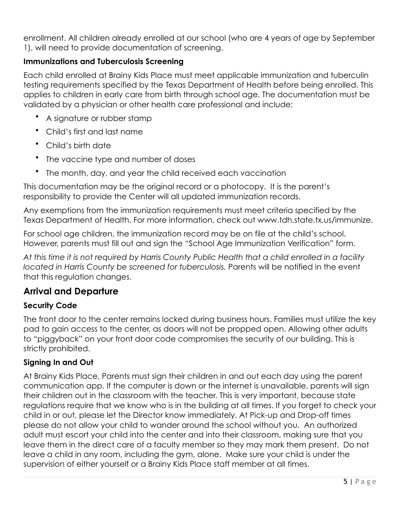enrollment. All children already enrolled at our school (who are 4 years of age by September 1), will need to provide documentation of screening.

### **Immunizations and Tuberculosis Screening**

Each child enrolled at Brainy Kids Place must meet applicable immunization and tuberculin testing requirements specified by the Texas Department of Health before being enrolled. This applies to children in early care from birth through school age. The documentation must be validated by a physician or other health care professional and include:

- A signature or rubber stamp
- Child's first and last name
- Child's birth date
- The vaccine type and number of doses
- The month, day, and year the child received each vaccination

This documentation may be the original record or a photocopy. It is the parent's responsibility to provide the Center will all updated immunization records.

Any exemptions from the immunization requirements must meet criteria specified by the Texas Department of Health. For more information, check out www.tdh.state.tx.us/immunize.

For school age children, the immunization record may be on file at the child's school. However, parents must fill out and sign the "School Age Immunization Verification" form.

*At this time it is not required by Harris County Public Health that a child enrolled in a facility located in Harris County be screened for tuberculosis.* Parents will be notified in the event that this regulation changes.

## **Arrival and Departure**

## **Security Code**

The front door to the center remains locked during business hours. Families must utilize the key pad to gain access to the center, as doors will not be propped open. Allowing other adults to "piggyback" on your front door code compromises the security of our building. This is strictly prohibited.

## **Signing In and Out**

At Brainy Kids Place, Parents must sign their children in and out each day using the parent communication app. If the computer is down or the internet is unavailable, parents will sign their children out in the classroom with the teacher. This is very important, because state regulations require that we know who is in the building at all times. If you forget to check your child in or out, please let the Director know immediately. At Pick-up and Drop-off times please do not allow your child to wander around the school without you. An authorized adult must escort your child into the center and into their classroom, making sure that you leave them in the direct care of a faculty member so they may mark them present. Do not leave a child in any room, including the gym, alone. Make sure your child is under the supervision of either yourself or a Brainy Kids Place staff member at all times.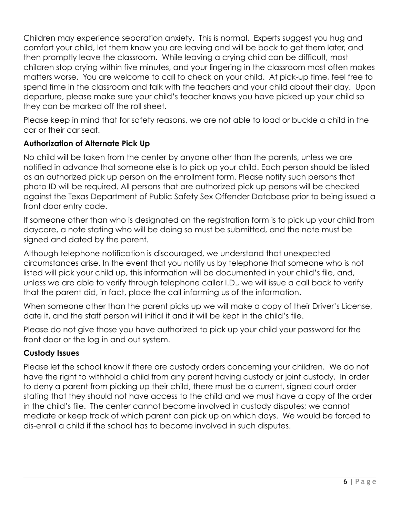Children may experience separation anxiety. This is normal. Experts suggest you hug and comfort your child, let them know you are leaving and will be back to get them later, and then promptly leave the classroom. While leaving a crying child can be difficult, most children stop crying within five minutes, and your lingering in the classroom most often makes matters worse. You are welcome to call to check on your child. At pick-up time, feel free to spend time in the classroom and talk with the teachers and your child about their day. Upon departure, please make sure your child's teacher knows you have picked up your child so they can be marked off the roll sheet.

Please keep in mind that for safety reasons, we are not able to load or buckle a child in the car or their car seat.

#### **Authorization of Alternate Pick Up**

No child will be taken from the center by anyone other than the parents, unless we are notified in advance that someone else is to pick up your child. Each person should be listed as an authorized pick up person on the enrollment form. Please notify such persons that photo ID will be required. All persons that are authorized pick up persons will be checked against the Texas Department of Public Safety Sex Offender Database prior to being issued a front door entry code.

If someone other than who is designated on the registration form is to pick up your child from daycare, a note stating who will be doing so must be submitted, and the note must be signed and dated by the parent.

Although telephone notification is discouraged, we understand that unexpected circumstances arise. In the event that you notify us by telephone that someone who is not listed will pick your child up, this information will be documented in your child's file, and, unless we are able to verify through telephone caller I.D., we will issue a call back to verify that the parent did, in fact, place the call informing us of the information.

When someone other than the parent picks up we will make a copy of their Driver's License, date it, and the staff person will initial it and it will be kept in the child's file.

Please do not give those you have authorized to pick up your child your password for the front door or the log in and out system.

#### **Custody Issues**

Please let the school know if there are custody orders concerning your children. We do not have the right to withhold a child from any parent having custody or joint custody. In order to deny a parent from picking up their child, there must be a current, signed court order stating that they should not have access to the child and we must have a copy of the order in the child's file. The center cannot become involved in custody disputes; we cannot mediate or keep track of which parent can pick up on which days. We would be forced to dis-enroll a child if the school has to become involved in such disputes.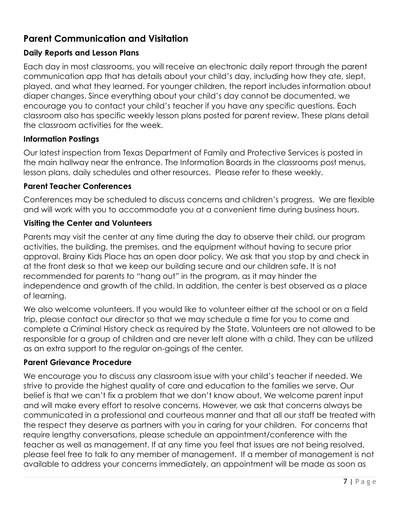## **Parent Communication and Visitation**

### **Daily Reports and Lesson Plans**

Each day in most classrooms, you will receive an electronic daily report through the parent communication app that has details about your child's day, including how they ate, slept, played, and what they learned. For younger children, the report includes information about diaper changes. Since everything about your child's day cannot be documented, we encourage you to contact your child's teacher if you have any specific questions. Each classroom also has specific weekly lesson plans posted for parent review. These plans detail the classroom activities for the week.

#### **Information Postings**

Our latest inspection from Texas Department of Family and Protective Services is posted in the main hallway near the entrance. The Information Boards in the classrooms post menus, lesson plans, daily schedules and other resources. Please refer to these weekly.

#### **Parent Teacher Conferences**

Conferences may be scheduled to discuss concerns and children's progress. We are flexible and will work with you to accommodate you at a convenient time during business hours.

#### **Visiting the Center and Volunteers**

Parents may visit the center at any time during the day to observe their child, our program activities, the building, the premises, and the equipment without having to secure prior approval. Brainy Kids Place has an open door policy. We ask that you stop by and check in at the front desk so that we keep our building secure and our children safe. It is not recommended for parents to "hang out" in the program, as it may hinder the independence and growth of the child. In addition, the center is best observed as a place of learning.

We also welcome volunteers. If you would like to volunteer either at the school or on a field trip, please contact our director so that we may schedule a time for you to come and complete a Criminal History check as required by the State. Volunteers are not allowed to be responsible for a group of children and are never left alone with a child. They can be utilized as an extra support to the regular on-goings of the center.

#### **Parent Grievance Procedure**

We encourage you to discuss any classroom issue with your child's teacher if needed. We strive to provide the highest quality of care and education to the families we serve. Our belief is that we can't fix a problem that we don't know about. We welcome parent input and will make every effort to resolve concerns. However, we ask that concerns always be communicated in a professional and courteous manner and that all our staff be treated with the respect they deserve as partners with you in caring for your children. For concerns that require lengthy conversations, please schedule an appointment/conference with the teacher as well as management. If at any time you feel that issues are not being resolved, please feel free to talk to any member of management. If a member of management is not available to address your concerns immediately, an appointment will be made as soon as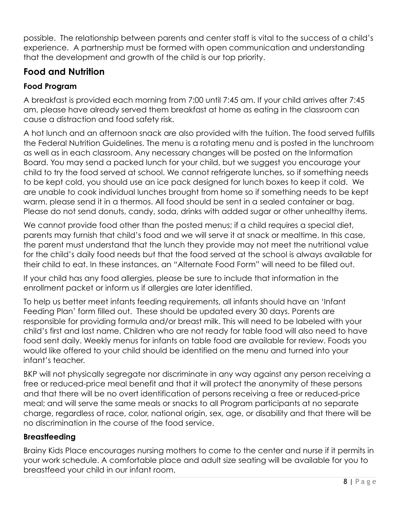possible. The relationship between parents and center staff is vital to the success of a child's experience. A partnership must be formed with open communication and understanding that the development and growth of the child is our top priority.

## **Food and Nutrition**

## **Food Program**

A breakfast is provided each morning from 7:00 until 7:45 am. If your child arrives after 7:45 am, please have already served them breakfast at home as eating in the classroom can cause a distraction and food safety risk.

A hot lunch and an afternoon snack are also provided with the tuition. The food served fulfills the Federal Nutrition Guidelines. The menu is a rotating menu and is posted in the lunchroom as well as in each classroom. Any necessary changes will be posted on the Information Board. You may send a packed lunch for your child, but we suggest you encourage your child to try the food served at school. We cannot refrigerate lunches, so if something needs to be kept cold, you should use an ice pack designed for lunch boxes to keep it cold. We are unable to cook individual lunches brought from home so if something needs to be kept warm, please send it in a thermos. All food should be sent in a sealed container or bag. Please do not send donuts, candy, soda, drinks with added sugar or other unhealthy items.

We cannot provide food other than the posted menus; if a child requires a special diet, parents may furnish that child's food and we will serve it at snack or mealtime. In this case, the parent must understand that the lunch they provide may not meet the nutritional value for the child's daily food needs but that the food served at the school is always available for their child to eat. In these instances, an "Alternate Food Form" will need to be filled out.

If your child has any food allergies, please be sure to include that information in the enrollment packet or inform us if allergies are later identified.

To help us better meet infants feeding requirements, all infants should have an 'Infant Feeding Plan' form filled out. These should be updated every 30 days. Parents are responsible for providing formula and/or breast milk. This will need to be labeled with your child's first and last name. Children who are not ready for table food will also need to have food sent daily. Weekly menus for infants on table food are available for review. Foods you would like offered to your child should be identified on the menu and turned into your infant's teacher.

BKP will not physically segregate nor discriminate in any way against any person receiving a free or reduced-price meal benefit and that it will protect the anonymity of these persons and that there will be no overt identification of persons receiving a free or reduced-price meal; and will serve the same meals or snacks to all Program participants at no separate charge, regardless of race, color, national origin, sex, age, or disability and that there will be no discrimination in the course of the food service.

## **Breastfeeding**

Brainy Kids Place encourages nursing mothers to come to the center and nurse if it permits in your work schedule. A comfortable place and adult size seating will be available for you to breastfeed your child in our infant room.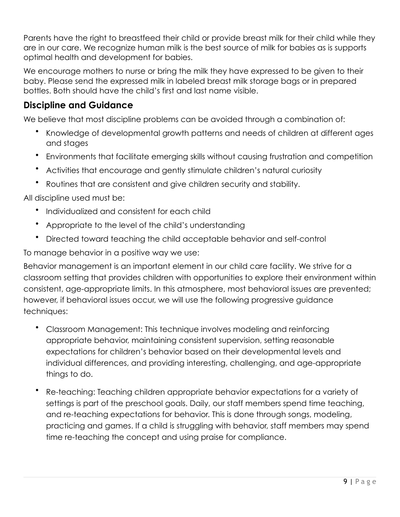Parents have the right to breastfeed their child or provide breast milk for their child while they are in our care. We recognize human milk is the best source of milk for babies as is supports optimal health and development for babies.

We encourage mothers to nurse or bring the milk they have expressed to be given to their baby. Please send the expressed milk in labeled breast milk storage bags or in prepared bottles. Both should have the child's first and last name visible.

## **Discipline and Guidance**

We believe that most discipline problems can be avoided through a combination of:

- Knowledge of developmental growth patterns and needs of children at different ages and stages
- Environments that facilitate emerging skills without causing frustration and competition
- Activities that encourage and gently stimulate children's natural curiosity
- Routines that are consistent and give children security and stability.

All discipline used must be:

- Individualized and consistent for each child
- Appropriate to the level of the child's understanding
- Directed toward teaching the child acceptable behavior and self-control

To manage behavior in a positive way we use:

Behavior management is an important element in our child care facility. We strive for a classroom setting that provides children with opportunities to explore their environment within consistent, age-appropriate limits. In this atmosphere, most behavioral issues are prevented; however, if behavioral issues occur, we will use the following progressive guidance techniques:

- Classroom Management: This technique involves modeling and reinforcing appropriate behavior, maintaining consistent supervision, setting reasonable expectations for children's behavior based on their developmental levels and individual differences, and providing interesting, challenging, and age-appropriate things to do.
- Re-teaching: Teaching children appropriate behavior expectations for a variety of settings is part of the preschool goals. Daily, our staff members spend time teaching, and re-teaching expectations for behavior. This is done through songs, modeling, practicing and games. If a child is struggling with behavior, staff members may spend time re-teaching the concept and using praise for compliance.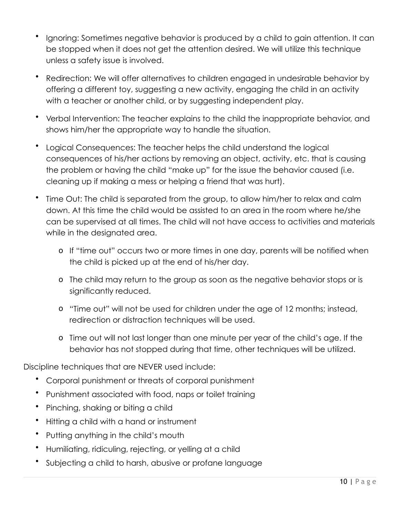- Ignoring: Sometimes negative behavior is produced by a child to gain attention. It can be stopped when it does not get the attention desired. We will utilize this technique unless a safety issue is involved.
- Redirection: We will offer alternatives to children engaged in undesirable behavior by offering a different toy, suggesting a new activity, engaging the child in an activity with a teacher or another child, or by suggesting independent play.
- Verbal Intervention: The teacher explains to the child the inappropriate behavior, and shows him/her the appropriate way to handle the situation.
- Logical Consequences: The teacher helps the child understand the logical consequences of his/her actions by removing an object, activity, etc. that is causing the problem or having the child "make up" for the issue the behavior caused (i.e. cleaning up if making a mess or helping a friend that was hurt).
- Time Out: The child is separated from the group, to allow him/her to relax and calm down. At this time the child would be assisted to an area in the room where he/she can be supervised at all times. The child will not have access to activities and materials while in the designated area.
	- o If "time out" occurs two or more times in one day, parents will be notified when the child is picked up at the end of his/her day.
	- o The child may return to the group as soon as the negative behavior stops or is significantly reduced.
	- o "Time out" will not be used for children under the age of 12 months; instead, redirection or distraction techniques will be used.
	- o Time out will not last longer than one minute per year of the child's age. If the behavior has not stopped during that time, other techniques will be utilized.

Discipline techniques that are NEVER used include:

- Corporal punishment or threats of corporal punishment
- Punishment associated with food, naps or toilet training
- Pinching, shaking or biting a child
- Hitting a child with a hand or instrument
- Putting anything in the child's mouth
- Humiliating, ridiculing, rejecting, or yelling at a child
- Subjecting a child to harsh, abusive or profane language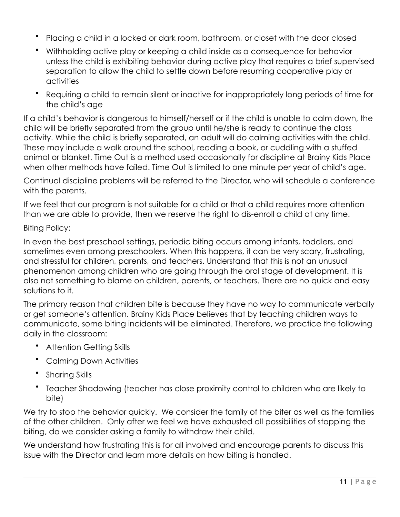- Placing a child in a locked or dark room, bathroom, or closet with the door closed
- Withholding active play or keeping a child inside as a consequence for behavior unless the child is exhibiting behavior during active play that requires a brief supervised separation to allow the child to settle down before resuming cooperative play or activities
- Requiring a child to remain silent or inactive for inappropriately long periods of time for the child's age

If a child's behavior is dangerous to himself/herself or if the child is unable to calm down, the child will be briefly separated from the group until he/she is ready to continue the class activity. While the child is briefly separated, an adult will do calming activities with the child. These may include a walk around the school, reading a book, or cuddling with a stuffed animal or blanket. Time Out is a method used occasionally for discipline at Brainy Kids Place when other methods have failed. Time Out is limited to one minute per year of child's age.

Continual discipline problems will be referred to the Director, who will schedule a conference with the parents.

If we feel that our program is not suitable for a child or that a child requires more attention than we are able to provide, then we reserve the right to dis-enroll a child at any time.

#### Biting Policy:

In even the best preschool settings, periodic biting occurs among infants, toddlers, and sometimes even among preschoolers. When this happens, it can be very scary, frustrating, and stressful for children, parents, and teachers. Understand that this is not an unusual phenomenon among children who are going through the oral stage of development. It is also not something to blame on children, parents, or teachers. There are no quick and easy solutions to it.

The primary reason that children bite is because they have no way to communicate verbally or get someone's attention. Brainy Kids Place believes that by teaching children ways to communicate, some biting incidents will be eliminated. Therefore, we practice the following daily in the classroom:

- Attention Getting Skills
- Calming Down Activities
- Sharing Skills
- Teacher Shadowing (teacher has close proximity control to children who are likely to bite)

We try to stop the behavior quickly. We consider the family of the biter as well as the families of the other children. Only after we feel we have exhausted all possibilities of stopping the biting, do we consider asking a family to withdraw their child.

We understand how frustrating this is for all involved and encourage parents to discuss this issue with the Director and learn more details on how biting is handled.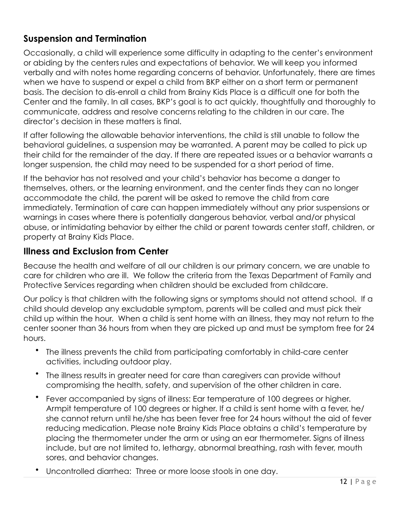## **Suspension and Termination**

Occasionally, a child will experience some difficulty in adapting to the center's environment or abiding by the centers rules and expectations of behavior. We will keep you informed verbally and with notes home regarding concerns of behavior. Unfortunately, there are times when we have to suspend or expel a child from BKP either on a short term or permanent basis. The decision to dis-enroll a child from Brainy Kids Place is a difficult one for both the Center and the family. In all cases, BKP's goal is to act quickly, thoughtfully and thoroughly to communicate, address and resolve concerns relating to the children in our care. The director's decision in these matters is final.

If after following the allowable behavior interventions, the child is still unable to follow the behavioral guidelines, a suspension may be warranted. A parent may be called to pick up their child for the remainder of the day. If there are repeated issues or a behavior warrants a longer suspension, the child may need to be suspended for a short period of time.

If the behavior has not resolved and your child's behavior has become a danger to themselves, others, or the learning environment, and the center finds they can no longer accommodate the child, the parent will be asked to remove the child from care immediately. Termination of care can happen immediately without any prior suspensions or warnings in cases where there is potentially dangerous behavior, verbal and/or physical abuse, or intimidating behavior by either the child or parent towards center staff, children, or property at Brainy Kids Place.

## **Illness and Exclusion from Center**

Because the health and welfare of all our children is our primary concern, we are unable to care for children who are ill. We follow the criteria from the Texas Department of Family and Protective Services regarding when children should be excluded from childcare.

Our policy is that children with the following signs or symptoms should not attend school. If a child should develop any excludable symptom, parents will be called and must pick their child up within the hour. When a child is sent home with an illness, they may not return to the center sooner than 36 hours from when they are picked up and must be symptom free for 24 hours.

- The illness prevents the child from participating comfortably in child-care center activities, including outdoor play.
- The illness results in greater need for care than caregivers can provide without compromising the health, safety, and supervision of the other children in care.
- Fever accompanied by signs of illness: Ear temperature of 100 degrees or higher. Armpit temperature of 100 degrees or higher. If a child is sent home with a fever, he/ she cannot return until he/she has been fever free for 24 hours without the aid of fever reducing medication. Please note Brainy Kids Place obtains a child's temperature by placing the thermometer under the arm or using an ear thermometer. Signs of illness include, but are not limited to, lethargy, abnormal breathing, rash with fever, mouth sores, and behavior changes.
- Uncontrolled diarrhea: Three or more loose stools in one day.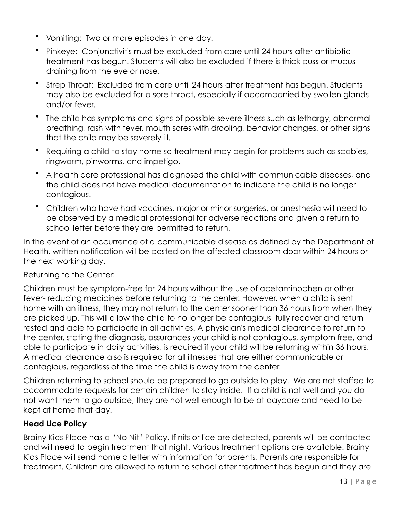- Vomiting: Two or more episodes in one day.
- Pinkeye: Conjunctivitis must be excluded from care until 24 hours after antibiotic treatment has begun. Students will also be excluded if there is thick puss or mucus draining from the eye or nose.
- Strep Throat: Excluded from care until 24 hours after treatment has begun. Students may also be excluded for a sore throat, especially if accompanied by swollen glands and/or fever.
- The child has symptoms and signs of possible severe illness such as lethargy, abnormal breathing, rash with fever, mouth sores with drooling, behavior changes, or other signs that the child may be severely ill.
- Requiring a child to stay home so treatment may begin for problems such as scabies, ringworm, pinworms, and impetigo.
- A health care professional has diagnosed the child with communicable diseases, and the child does not have medical documentation to indicate the child is no longer contagious.
- Children who have had vaccines, major or minor surgeries, or anesthesia will need to be observed by a medical professional for adverse reactions and given a return to school letter before they are permitted to return.

In the event of an occurrence of a communicable disease as defined by the Department of Health, written notification will be posted on the affected classroom door within 24 hours or the next working day.

Returning to the Center:

Children must be symptom-free for 24 hours without the use of acetaminophen or other fever- reducing medicines before returning to the center. However, when a child is sent home with an illness, they may not return to the center sooner than 36 hours from when they are picked up. This will allow the child to no longer be contagious, fully recover and return rested and able to participate in all activities. A physician's medical clearance to return to the center, stating the diagnosis, assurances your child is not contagious, symptom free, and able to participate in daily activities, is required if your child will be returning within 36 hours. A medical clearance also is required for all illnesses that are either communicable or contagious, regardless of the time the child is away from the center.

Children returning to school should be prepared to go outside to play. We are not staffed to accommodate requests for certain children to stay inside. If a child is not well and you do not want them to go outside, they are not well enough to be at daycare and need to be kept at home that day.

#### **Head Lice Policy**

Brainy Kids Place has a "No Nit" Policy. If nits or lice are detected, parents will be contacted and will need to begin treatment that night. Various treatment options are available. Brainy Kids Place will send home a letter with information for parents. Parents are responsible for treatment. Children are allowed to return to school after treatment has begun and they are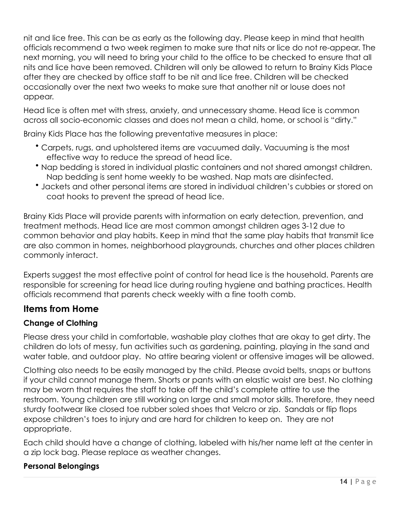nit and lice free. This can be as early as the following day. Please keep in mind that health officials recommend a two week regimen to make sure that nits or lice do not re-appear. The next morning, you will need to bring your child to the office to be checked to ensure that all nits and lice have been removed. Children will only be allowed to return to Brainy Kids Place after they are checked by office staff to be nit and lice free. Children will be checked occasionally over the next two weeks to make sure that another nit or louse does not appear.

Head lice is often met with stress, anxiety, and unnecessary shame. Head lice is common across all socio-economic classes and does not mean a child, home, or school is "dirty."

Brainy Kids Place has the following preventative measures in place:

- Carpets, rugs, and upholstered items are vacuumed daily. Vacuuming is the most effective way to reduce the spread of head lice.
- Nap bedding is stored in individual plastic containers and not shared amongst children. Nap bedding is sent home weekly to be washed. Nap mats are disinfected.
- Jackets and other personal items are stored in individual children's cubbies or stored on coat hooks to prevent the spread of head lice.

Brainy Kids Place will provide parents with information on early detection, prevention, and treatment methods. Head lice are most common amongst children ages 3-12 due to common behavior and play habits. Keep in mind that the same play habits that transmit lice are also common in homes, neighborhood playgrounds, churches and other places children commonly interact.

Experts suggest the most effective point of control for head lice is the household. Parents are responsible for screening for head lice during routing hygiene and bathing practices. Health officials recommend that parents check weekly with a fine tooth comb.

## **Items from Home**

## **Change of Clothing**

Please dress your child in comfortable, washable play clothes that are okay to get dirty. The children do lots of messy, fun activities such as gardening, painting, playing in the sand and water table, and outdoor play. No attire bearing violent or offensive images will be allowed.

Clothing also needs to be easily managed by the child. Please avoid belts, snaps or buttons if your child cannot manage them. Shorts or pants with an elastic waist are best. No clothing may be worn that requires the staff to take off the child's complete attire to use the restroom. Young children are still working on large and small motor skills. Therefore, they need sturdy footwear like closed toe rubber soled shoes that Velcro or zip. Sandals or flip flops expose children's toes to injury and are hard for children to keep on. They are not appropriate.

Each child should have a change of clothing, labeled with his/her name left at the center in a zip lock bag. Please replace as weather changes.

#### **Personal Belongings**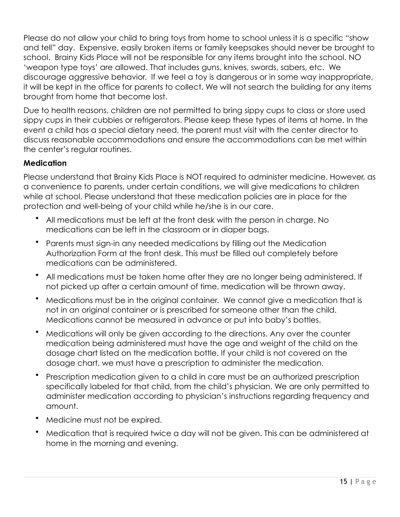Please do not allow your child to bring toys from home to school unless it is a specific "show and tell" day. Expensive, easily broken items or family keepsakes should never be brought to school. Brainy Kids Place will not be responsible for any items brought into the school. NO 'weapon type toys' are allowed. That includes guns, knives, swords, sabers, etc. We discourage aggressive behavior. If we feel a toy is dangerous or in some way inappropriate, it will be kept in the office for parents to collect. We will not search the building for any items brought from home that become lost.

Due to health reasons, children are not permitted to bring sippy cups to class or store used sippy cups in their cubbies or refrigerators. Please keep these types of items at home. In the event a child has a special dietary need, the parent must visit with the center director to discuss reasonable accommodations and ensure the accommodations can be met within the center's regular routines.

#### **Medication**

Please understand that Brainy Kids Place is NOT required to administer medicine. However, as a convenience to parents, under certain conditions, we will give medications to children while at school. Please understand that these medication policies are in place for the protection and well-being of your child while he/she is in our care.

- All medications must be left at the front desk with the person in charge. No medications can be left in the classroom or in diaper bags.
- Parents must sign-in any needed medications by filling out the Medication Authorization Form at the front desk. This must be filled out completely before medications can be administered.
- All medications must be taken home after they are no longer being administered. If not picked up after a certain amount of time, medication will be thrown away.
- Medications must be in the original container. We cannot give a medication that is not in an original container or is prescribed for someone other than the child. Medications cannot be measured in advance or put into baby's bottles.
- Medications will only be given according to the directions. Any over the counter medication being administered must have the age and weight of the child on the dosage chart listed on the medication bottle. If your child is not covered on the dosage chart, we must have a prescription to administer the medication.
- Prescription medication given to a child in care must be an authorized prescription specifically labeled for that child, from the child's physician. We are only permitted to administer medication according to physician's instructions regarding frequency and amount.
- Medicine must not be expired.
- Medication that is required twice a day will not be given. This can be administered at home in the morning and evening.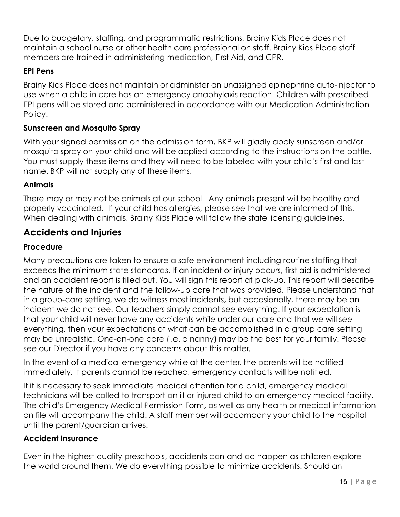Due to budgetary, staffing, and programmatic restrictions, Brainy Kids Place does not maintain a school nurse or other health care professional on staff. Brainy Kids Place staff members are trained in administering medication, First Aid, and CPR.

### **EPI Pens**

Brainy Kids Place does not maintain or administer an unassigned epinephrine auto-injector to use when a child in care has an emergency anaphylaxis reaction. Children with prescribed EPI pens will be stored and administered in accordance with our Medication Administration Policy.

### **Sunscreen and Mosquito Spray**

With your signed permission on the admission form, BKP will gladly apply sunscreen and/or mosquito spray on your child and will be applied according to the instructions on the bottle. You must supply these items and they will need to be labeled with your child's first and last name. BKP will not supply any of these items.

#### **Animals**

There may or may not be animals at our school. Any animals present will be healthy and properly vaccinated. If your child has allergies, please see that we are informed of this. When dealing with animals, Brainy Kids Place will follow the state licensing guidelines.

## **Accidents and Injuries**

### **Procedure**

Many precautions are taken to ensure a safe environment including routine staffing that exceeds the minimum state standards. If an incident or injury occurs, first aid is administered and an accident report is filled out. You will sign this report at pick-up. This report will describe the nature of the incident and the follow-up care that was provided. Please understand that in a group-care setting, we do witness most incidents, but occasionally, there may be an incident we do not see. Our teachers simply cannot see everything. If your expectation is that your child will never have any accidents while under our care and that we will see everything, then your expectations of what can be accomplished in a group care setting may be unrealistic. One-on-one care (i.e. a nanny) may be the best for your family. Please see our Director if you have any concerns about this matter.

In the event of a medical emergency while at the center, the parents will be notified immediately. If parents cannot be reached, emergency contacts will be notified.

If it is necessary to seek immediate medical attention for a child, emergency medical technicians will be called to transport an ill or injured child to an emergency medical facility. The child's Emergency Medical Permission Form, as well as any health or medical information on file will accompany the child. A staff member will accompany your child to the hospital until the parent/guardian arrives.

#### **Accident Insurance**

Even in the highest quality preschools, accidents can and do happen as children explore the world around them. We do everything possible to minimize accidents. Should an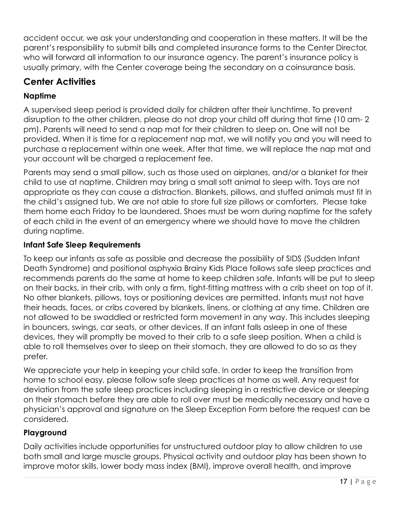accident occur, we ask your understanding and cooperation in these matters. It will be the parent's responsibility to submit bills and completed insurance forms to the Center Director, who will forward all information to our insurance agency. The parent's insurance policy is usually primary, with the Center coverage being the secondary on a coinsurance basis.

## **Center Activities**

## **Naptime**

A supervised sleep period is provided daily for children after their lunchtime. To prevent disruption to the other children, please do not drop your child off during that time (10 am- 2 pm). Parents will need to send a nap mat for their children to sleep on. One will not be provided. When it is time for a replacement nap mat, we will notify you and you will need to purchase a replacement within one week. After that time, we will replace the nap mat and your account will be charged a replacement fee.

Parents may send a small pillow, such as those used on airplanes, and/or a blanket for their child to use at naptime. Children may bring a small soft animal to sleep with. Toys are not appropriate as they can cause a distraction. Blankets, pillows, and stuffed animals must fit in the child's assigned tub. We are not able to store full size pillows or comforters. Please take them home each Friday to be laundered. Shoes must be worn during naptime for the safety of each child in the event of an emergency where we should have to move the children during naptime.

#### **Infant Safe Sleep Requirements**

To keep our infants as safe as possible and decrease the possibility of SIDS (Sudden Infant Death Syndrome) and positional asphyxia Brainy Kids Place follows safe sleep practices and recommends parents do the same at home to keep children safe. Infants will be put to sleep on their backs, in their crib, with only a firm, tight-fitting mattress with a crib sheet on top of it. No other blankets, pillows, toys or positioning devices are permitted. Infants must not have their heads, faces, or cribs covered by blankets, linens, or clothing at any time. Children are not allowed to be swaddled or restricted form movement in any way. This includes sleeping in bouncers, swings, car seats, or other devices. If an infant falls asleep in one of these devices, they will promptly be moved to their crib to a safe sleep position. When a child is able to roll themselves over to sleep on their stomach, they are allowed to do so as they prefer.

We appreciate your help in keeping your child safe. In order to keep the transition from home to school easy, please follow safe sleep practices at home as well. Any request for deviation from the safe sleep practices including sleeping in a restrictive device or sleeping on their stomach before they are able to roll over must be medically necessary and have a physician's approval and signature on the Sleep Exception Form before the request can be considered.

#### **Playground**

Daily activities include opportunities for unstructured outdoor play to allow children to use both small and large muscle groups. Physical activity and outdoor play has been shown to improve motor skills, lower body mass index (BMI), improve overall health, and improve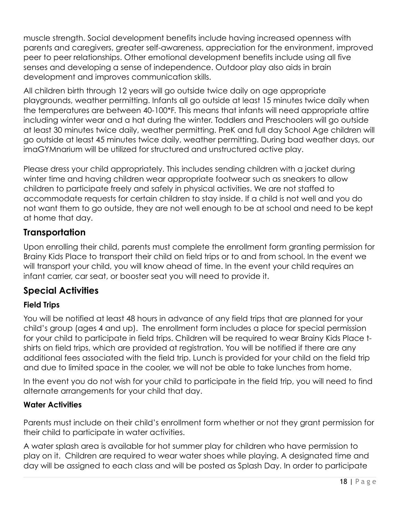muscle strength. Social development benefits include having increased openness with parents and caregivers, greater self-awareness, appreciation for the environment, improved peer to peer relationships. Other emotional development benefits include using all five senses and developing a sense of independence. Outdoor play also aids in brain development and improves communication skills.

All children birth through 12 years will go outside twice daily on age appropriate playgrounds, weather permitting. Infants all go outside at least 15 minutes twice daily when the temperatures are between 40-100\*F. This means that infants will need appropriate attire including winter wear and a hat during the winter. Toddlers and Preschoolers will go outside at least 30 minutes twice daily, weather permitting. PreK and full day School Age children will go outside at least 45 minutes twice daily, weather permitting. During bad weather days, our imaGYMnarium will be utilized for structured and unstructured active play.

Please dress your child appropriately. This includes sending children with a jacket during winter time and having children wear appropriate footwear such as sneakers to allow children to participate freely and safely in physical activities. We are not staffed to accommodate requests for certain children to stay inside. If a child is not well and you do not want them to go outside, they are not well enough to be at school and need to be kept at home that day.

## **Transportation**

Upon enrolling their child, parents must complete the enrollment form granting permission for Brainy Kids Place to transport their child on field trips or to and from school. In the event we will transport your child, you will know ahead of time. In the event your child requires an infant carrier, car seat, or booster seat you will need to provide it.

## **Special Activities**

## **Field Trips**

You will be notified at least 48 hours in advance of any field trips that are planned for your child's group (ages 4 and up). The enrollment form includes a place for special permission for your child to participate in field trips. Children will be required to wear Brainy Kids Place tshirts on field trips, which are provided at registration. You will be notified if there are any additional fees associated with the field trip. Lunch is provided for your child on the field trip and due to limited space in the cooler, we will not be able to take lunches from home.

In the event you do not wish for your child to participate in the field trip, you will need to find alternate arrangements for your child that day.

#### **Water Activities**

Parents must include on their child's enrollment form whether or not they grant permission for their child to participate in water activities.

A water splash area is available for hot summer play for children who have permission to play on it. Children are required to wear water shoes while playing. A designated time and day will be assigned to each class and will be posted as Splash Day. In order to participate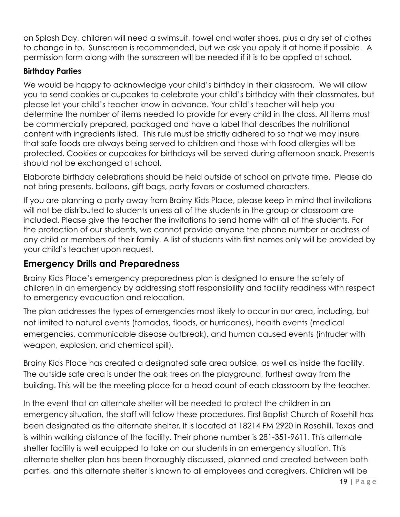on Splash Day, children will need a swimsuit, towel and water shoes, plus a dry set of clothes to change in to. Sunscreen is recommended, but we ask you apply it at home if possible. A permission form along with the sunscreen will be needed if it is to be applied at school.

### **Birthday Parties**

We would be happy to acknowledge your child's birthday in their classroom. We will allow you to send cookies or cupcakes to celebrate your child's birthday with their classmates, but please let your child's teacher know in advance. Your child's teacher will help you determine the number of items needed to provide for every child in the class. All items must be commercially prepared, packaged and have a label that describes the nutritional content with ingredients listed. This rule must be strictly adhered to so that we may insure that safe foods are always being served to children and those with food allergies will be protected. Cookies or cupcakes for birthdays will be served during afternoon snack. Presents should not be exchanged at school.

Elaborate birthday celebrations should be held outside of school on private time. Please do not bring presents, balloons, gift bags, party favors or costumed characters.

If you are planning a party away from Brainy Kids Place, please keep in mind that invitations will not be distributed to students unless all of the students in the group or classroom are included. Please give the teacher the invitations to send home with all of the students. For the protection of our students, we cannot provide anyone the phone number or address of any child or members of their family. A list of students with first names only will be provided by your child's teacher upon request.

## **Emergency Drills and Preparedness**

Brainy Kids Place's emergency preparedness plan is designed to ensure the safety of children in an emergency by addressing staff responsibility and facility readiness with respect to emergency evacuation and relocation.

The plan addresses the types of emergencies most likely to occur in our area, including, but not limited to natural events (tornados, floods, or hurricanes), health events (medical emergencies, communicable disease outbreak), and human caused events (intruder with weapon, explosion, and chemical spill).

Brainy Kids Place has created a designated safe area outside, as well as inside the facility. The outside safe area is under the oak trees on the playground, furthest away from the building. This will be the meeting place for a head count of each classroom by the teacher.

In the event that an alternate shelter will be needed to protect the children in an emergency situation, the staff will follow these procedures. First Baptist Church of Rosehill has been designated as the alternate shelter. It is located at 18214 FM 2920 in Rosehill, Texas and is within walking distance of the facility. Their phone number is 281-351-9611. This alternate shelter facility is well equipped to take on our students in an emergency situation. This alternate shelter plan has been thoroughly discussed, planned and created between both parties, and this alternate shelter is known to all employees and caregivers. Children will be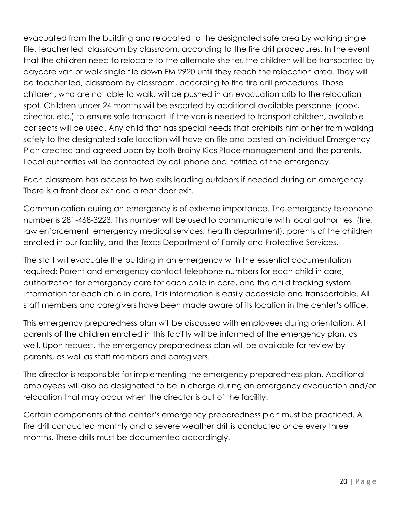evacuated from the building and relocated to the designated safe area by walking single file, teacher led, classroom by classroom, according to the fire drill procedures. In the event that the children need to relocate to the alternate shelter, the children will be transported by daycare van or walk single file down FM 2920 until they reach the relocation area. They will be teacher led, classroom by classroom, according to the fire drill procedures. Those children, who are not able to walk, will be pushed in an evacuation crib to the relocation spot. Children under 24 months will be escorted by additional available personnel (cook, director, etc.) to ensure safe transport. If the van is needed to transport children, available car seats will be used. Any child that has special needs that prohibits him or her from walking safely to the designated safe location will have on file and posted an individual Emergency Plan created and agreed upon by both Brainy Kids Place management and the parents. Local authorities will be contacted by cell phone and notified of the emergency.

Each classroom has access to two exits leading outdoors if needed during an emergency. There is a front door exit and a rear door exit.

Communication during an emergency is of extreme importance. The emergency telephone number is 281-468-3223. This number will be used to communicate with local authorities, (fire, law enforcement, emergency medical services, health department), parents of the children enrolled in our facility, and the Texas Department of Family and Protective Services.

The staff will evacuate the building in an emergency with the essential documentation required: Parent and emergency contact telephone numbers for each child in care, authorization for emergency care for each child in care, and the child tracking system information for each child in care. This information is easily accessible and transportable. All staff members and caregivers have been made aware of its location in the center's office.

This emergency preparedness plan will be discussed with employees during orientation. All parents of the children enrolled in this facility will be informed of the emergency plan, as well. Upon request, the emergency preparedness plan will be available for review by parents, as well as staff members and caregivers.

The director is responsible for implementing the emergency preparedness plan. Additional employees will also be designated to be in charge during an emergency evacuation and/or relocation that may occur when the director is out of the facility.

Certain components of the center's emergency preparedness plan must be practiced. A fire drill conducted monthly and a severe weather drill is conducted once every three months. These drills must be documented accordingly.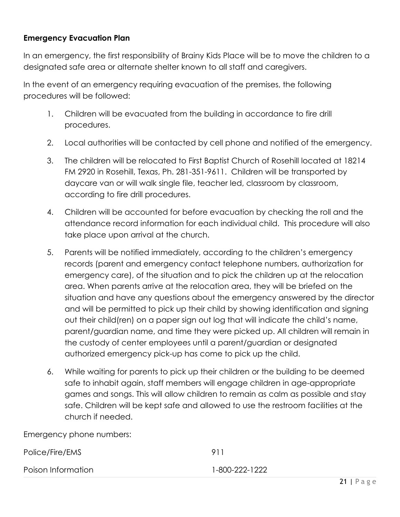#### **Emergency Evacuation Plan**

In an emergency, the first responsibility of Brainy Kids Place will be to move the children to a designated safe area or alternate shelter known to all staff and caregivers.

In the event of an emergency requiring evacuation of the premises, the following procedures will be followed:

- 1. Children will be evacuated from the building in accordance to fire drill procedures.
- 2. Local authorities will be contacted by cell phone and notified of the emergency.
- 3. The children will be relocated to First Baptist Church of Rosehill located at 18214 FM 2920 in Rosehill, Texas, Ph. 281-351-9611. Children will be transported by daycare van or will walk single file, teacher led, classroom by classroom, according to fire drill procedures.
- 4. Children will be accounted for before evacuation by checking the roll and the attendance record information for each individual child. This procedure will also take place upon arrival at the church.
- 5. Parents will be notified immediately, according to the children's emergency records (parent and emergency contact telephone numbers, authorization for emergency care), of the situation and to pick the children up at the relocation area. When parents arrive at the relocation area, they will be briefed on the situation and have any questions about the emergency answered by the director and will be permitted to pick up their child by showing identification and signing out their child(ren) on a paper sign out log that will indicate the child's name, parent/guardian name, and time they were picked up. All children will remain in the custody of center employees until a parent/guardian or designated authorized emergency pick-up has come to pick up the child.
- 6. While waiting for parents to pick up their children or the building to be deemed safe to inhabit again, staff members will engage children in age-appropriate games and songs. This will allow children to remain as calm as possible and stay safe. Children will be kept safe and allowed to use the restroom facilities at the church if needed.

Emergency phone numbers:

| Police/Fire/EMS    | 911            |
|--------------------|----------------|
| Poison Information | 1-800-222-1222 |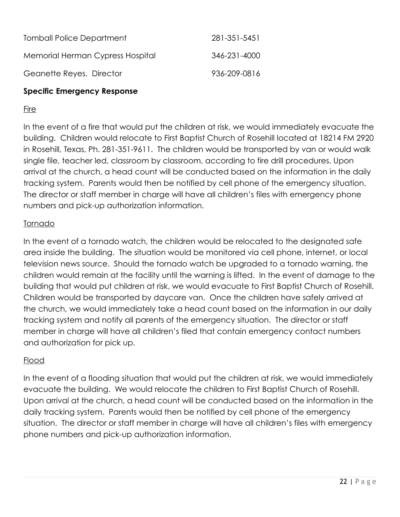| <b>Tomball Police Department</b> | 281-351-5451 |
|----------------------------------|--------------|
| Memorial Herman Cypress Hospital | 346-231-4000 |
| Geanette Reyes, Director         | 936-209-0816 |

### **Specific Emergency Response**

### Fire

In the event of a fire that would put the children at risk, we would immediately evacuate the building. Children would relocate to First Baptist Church of Rosehill located at 18214 FM 2920 in Rosehill, Texas, Ph. 281-351-9611. The children would be transported by van or would walk single file, teacher led, classroom by classroom, according to fire drill procedures. Upon arrival at the church, a head count will be conducted based on the information in the daily tracking system. Parents would then be notified by cell phone of the emergency situation. The director or staff member in charge will have all children's files with emergency phone numbers and pick-up authorization information.

### Tornado

In the event of a tornado watch, the children would be relocated to the designated safe area inside the building. The situation would be monitored via cell phone, internet, or local television news source. Should the tornado watch be upgraded to a tornado warning, the children would remain at the facility until the warning is lifted. In the event of damage to the building that would put children at risk, we would evacuate to First Baptist Church of Rosehill. Children would be transported by daycare van. Once the children have safely arrived at the church, we would immediately take a head count based on the information in our daily tracking system and notify all parents of the emergency situation. The director or staff member in charge will have all children's filed that contain emergency contact numbers and authorization for pick up.

## Flood

In the event of a flooding situation that would put the children at risk, we would immediately evacuate the building. We would relocate the children to First Baptist Church of Rosehill. Upon arrival at the church, a head count will be conducted based on the information in the daily tracking system. Parents would then be notified by cell phone of the emergency situation. The director or staff member in charge will have all children's files with emergency phone numbers and pick-up authorization information.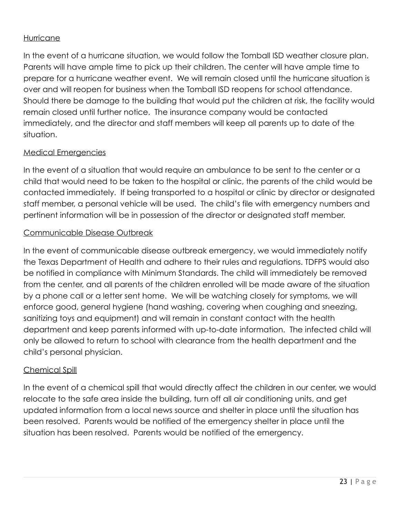#### Hurricane

In the event of a hurricane situation, we would follow the Tomball ISD weather closure plan. Parents will have ample time to pick up their children. The center will have ample time to prepare for a hurricane weather event. We will remain closed until the hurricane situation is over and will reopen for business when the Tomball ISD reopens for school attendance. Should there be damage to the building that would put the children at risk, the facility would remain closed until further notice. The insurance company would be contacted immediately, and the director and staff members will keep all parents up to date of the situation.

#### Medical Emergencies

In the event of a situation that would require an ambulance to be sent to the center or a child that would need to be taken to the hospital or clinic, the parents of the child would be contacted immediately. If being transported to a hospital or clinic by director or designated staff member, a personal vehicle will be used. The child's file with emergency numbers and pertinent information will be in possession of the director or designated staff member.

#### Communicable Disease Outbreak

In the event of communicable disease outbreak emergency, we would immediately notify the Texas Department of Health and adhere to their rules and regulations. TDFPS would also be notified in compliance with Minimum Standards. The child will immediately be removed from the center, and all parents of the children enrolled will be made aware of the situation by a phone call or a letter sent home. We will be watching closely for symptoms, we will enforce good, general hygiene (hand washing, covering when coughing and sneezing, sanitizing toys and equipment) and will remain in constant contact with the health department and keep parents informed with up-to-date information. The infected child will only be allowed to return to school with clearance from the health department and the child's personal physician.

#### Chemical Spill

In the event of a chemical spill that would directly affect the children in our center, we would relocate to the safe area inside the building, turn off all air conditioning units, and get updated information from a local news source and shelter in place until the situation has been resolved. Parents would be notified of the emergency shelter in place until the situation has been resolved. Parents would be notified of the emergency.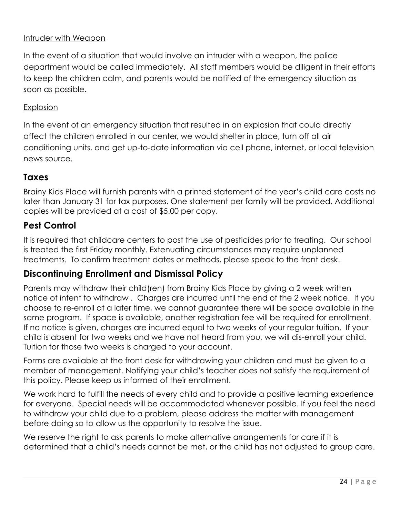#### Intruder with Weapon

In the event of a situation that would involve an intruder with a weapon, the police department would be called immediately. All staff members would be diligent in their efforts to keep the children calm, and parents would be notified of the emergency situation as soon as possible.

#### **Explosion**

In the event of an emergency situation that resulted in an explosion that could directly affect the children enrolled in our center, we would shelter in place, turn off all air conditioning units, and get up-to-date information via cell phone, internet, or local television news source.

## **Taxes**

Brainy Kids Place will furnish parents with a printed statement of the year's child care costs no later than January 31 for tax purposes. One statement per family will be provided. Additional copies will be provided at a cost of \$5.00 per copy.

## **Pest Control**

It is required that childcare centers to post the use of pesticides prior to treating. Our school is treated the first Friday monthly. Extenuating circumstances may require unplanned treatments. To confirm treatment dates or methods, please speak to the front desk.

## **Discontinuing Enrollment and Dismissal Policy**

Parents may withdraw their child(ren) from Brainy Kids Place by giving a 2 week written notice of intent to withdraw . Charges are incurred until the end of the 2 week notice. If you choose to re-enroll at a later time, we cannot guarantee there will be space available in the same program. If space is available, another registration fee will be required for enrollment. If no notice is given, charges are incurred equal to two weeks of your regular tuition. If your child is absent for two weeks and we have not heard from you, we will dis-enroll your child. Tuition for those two weeks is charged to your account.

Forms are available at the front desk for withdrawing your children and must be given to a member of management. Notifying your child's teacher does not satisfy the requirement of this policy. Please keep us informed of their enrollment.

We work hard to fulfill the needs of every child and to provide a positive learning experience for everyone. Special needs will be accommodated whenever possible. If you feel the need to withdraw your child due to a problem, please address the matter with management before doing so to allow us the opportunity to resolve the issue.

We reserve the right to ask parents to make alternative arrangements for care if it is determined that a child's needs cannot be met, or the child has not adjusted to group care.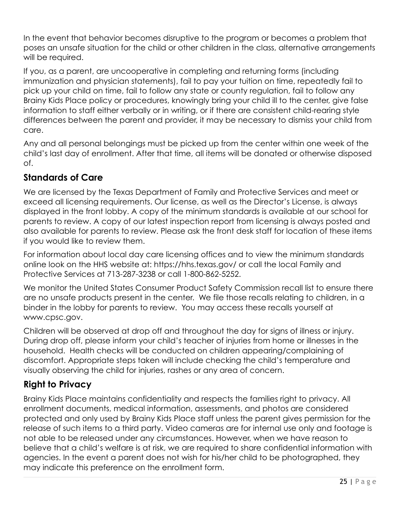In the event that behavior becomes disruptive to the program or becomes a problem that poses an unsafe situation for the child or other children in the class, alternative arrangements will be required.

If you, as a parent, are uncooperative in completing and returning forms (including immunization and physician statements), fail to pay your tuition on time, repeatedly fail to pick up your child on time, fail to follow any state or county regulation, fail to follow any Brainy Kids Place policy or procedures, knowingly bring your child ill to the center, give false information to staff either verbally or in writing, or if there are consistent child-rearing style differences between the parent and provider, it may be necessary to dismiss your child from care.

Any and all personal belongings must be picked up from the center within one week of the child's last day of enrollment. After that time, all items will be donated or otherwise disposed of.

## **Standards of Care**

We are licensed by the Texas Department of Family and Protective Services and meet or exceed all licensing requirements. Our license, as well as the Director's License, is always displayed in the front lobby. A copy of the minimum standards is available at our school for parents to review. A copy of our latest inspection report from licensing is always posted and also available for parents to review. Please ask the front desk staff for location of these items if you would like to review them.

For information about local day care licensing offices and to view the minimum standards online look on the HHS website at: https://hhs.texas.gov/ or call the local Family and Protective Services at 713-287-3238 or call 1-800-862-5252.

We monitor the United States Consumer Product Safety Commission recall list to ensure there are no unsafe products present in the center. We file those recalls relating to children, in a binder in the lobby for parents to review. You may access these recalls yourself at www.cpsc.gov.

Children will be observed at drop off and throughout the day for signs of illness or injury. During drop off, please inform your child's teacher of injuries from home or illnesses in the household. Health checks will be conducted on children appearing/complaining of discomfort. Appropriate steps taken will include checking the child's temperature and visually observing the child for injuries, rashes or any area of concern.

# **Right to Privacy**

Brainy Kids Place maintains confidentiality and respects the families right to privacy. All enrollment documents, medical information, assessments, and photos are considered protected and only used by Brainy Kids Place staff unless the parent gives permission for the release of such items to a third party. Video cameras are for internal use only and footage is not able to be released under any circumstances. However, when we have reason to believe that a child's welfare is at risk, we are required to share confidential information with agencies. In the event a parent does not wish for his/her child to be photographed, they may indicate this preference on the enrollment form.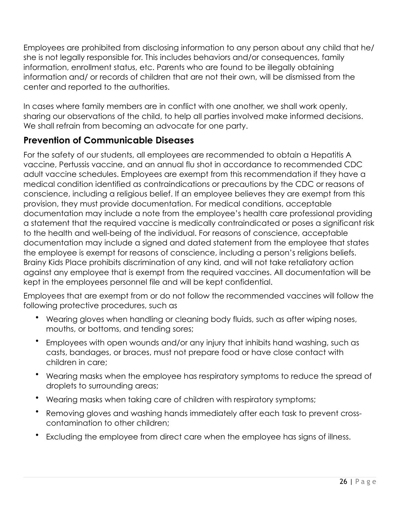Employees are prohibited from disclosing information to any person about any child that he/ she is not legally responsible for. This includes behaviors and/or consequences, family information, enrollment status, etc. Parents who are found to be illegally obtaining information and/ or records of children that are not their own, will be dismissed from the center and reported to the authorities.

In cases where family members are in conflict with one another, we shall work openly, sharing our observations of the child, to help all parties involved make informed decisions. We shall refrain from becoming an advocate for one party.

## **Prevention of Communicable Diseases**

For the safety of our students, all employees are recommended to obtain a Hepatitis A vaccine, Pertussis vaccine, and an annual flu shot in accordance to recommended CDC adult vaccine schedules. Employees are exempt from this recommendation if they have a medical condition identified as contraindications or precautions by the CDC or reasons of conscience, including a religious belief. If an employee believes they are exempt from this provision, they must provide documentation. For medical conditions, acceptable documentation may include a note from the employee's health care professional providing a statement that the required vaccine is medically contraindicated or poses a significant risk to the health and well-being of the individual. For reasons of conscience, acceptable documentation may include a signed and dated statement from the employee that states the employee is exempt for reasons of conscience, including a person's religions beliefs. Brainy Kids Place prohibits discrimination of any kind, and will not take retaliatory action against any employee that is exempt from the required vaccines. All documentation will be kept in the employees personnel file and will be kept confidential.

Employees that are exempt from or do not follow the recommended vaccines will follow the following protective procedures, such as

- Wearing gloves when handling or cleaning body fluids, such as after wiping noses, mouths, or bottoms, and tending sores;
- Employees with open wounds and/or any injury that inhibits hand washing, such as casts, bandages, or braces, must not prepare food or have close contact with children in care;
- Wearing masks when the employee has respiratory symptoms to reduce the spread of droplets to surrounding areas;
- Wearing masks when taking care of children with respiratory symptoms;
- Removing gloves and washing hands immediately after each task to prevent crosscontamination to other children;
- Excluding the employee from direct care when the employee has signs of illness.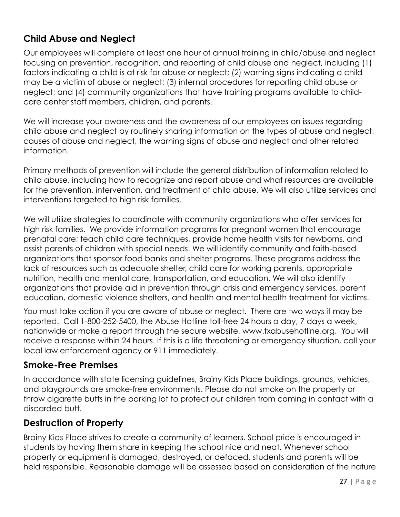## **Child Abuse and Neglect**

Our employees will complete at least one hour of annual training in child/abuse and neglect focusing on prevention, recognition, and reporting of child abuse and neglect, including (1) factors indicating a child is at risk for abuse or neglect; (2) warning signs indicating a child may be a victim of abuse or neglect; (3) internal procedures for reporting child abuse or neglect; and (4) community organizations that have training programs available to childcare center staff members, children, and parents.

We will increase your awareness and the awareness of our employees on issues regarding child abuse and neglect by routinely sharing information on the types of abuse and neglect, causes of abuse and neglect, the warning signs of abuse and neglect and other related information.

Primary methods of prevention will include the general distribution of information related to child abuse, including how to recognize and report abuse and what resources are available for the prevention, intervention, and treatment of child abuse. We will also utilize services and interventions targeted to high risk families.

We will utilize strategies to coordinate with community organizations who offer services for high risk families. We provide information programs for pregnant women that encourage prenatal care; teach child care techniques, provide home health visits for newborns, and assist parents of children with special needs. We will identify community and faith-based organizations that sponsor food banks and shelter programs. These programs address the lack of resources such as adequate shelter, child care for working parents, appropriate nutrition, health and mental care, transportation, and education. We will also identify organizations that provide aid in prevention through crisis and emergency services, parent education, domestic violence shelters, and health and mental health treatment for victims.

You must take action if you are aware of abuse or neglect. There are two ways it may be reported. Call 1-800-252-5400, the Abuse Hotline toll-free 24 hours a day, 7 days a week, nationwide or make a report through the secure website, [www.txabusehotline.org](http://www.txabusehotline.org). You will receive a response within 24 hours. If this is a life threatening or emergency situation, call your local law enforcement agency or 911 immediately.

## **Smoke-Free Premises**

In accordance with state licensing guidelines, Brainy Kids Place buildings, grounds, vehicles, and playgrounds are smoke-free environments. Please do not smoke on the property or throw cigarette butts in the parking lot to protect our children from coming in contact with a discarded butt.

## **Destruction of Property**

Brainy Kids Place strives to create a community of learners. School pride is encouraged in students by having them share in keeping the school nice and neat. Whenever school property or equipment is damaged, destroyed, or defaced, students and parents will be held responsible. Reasonable damage will be assessed based on consideration of the nature